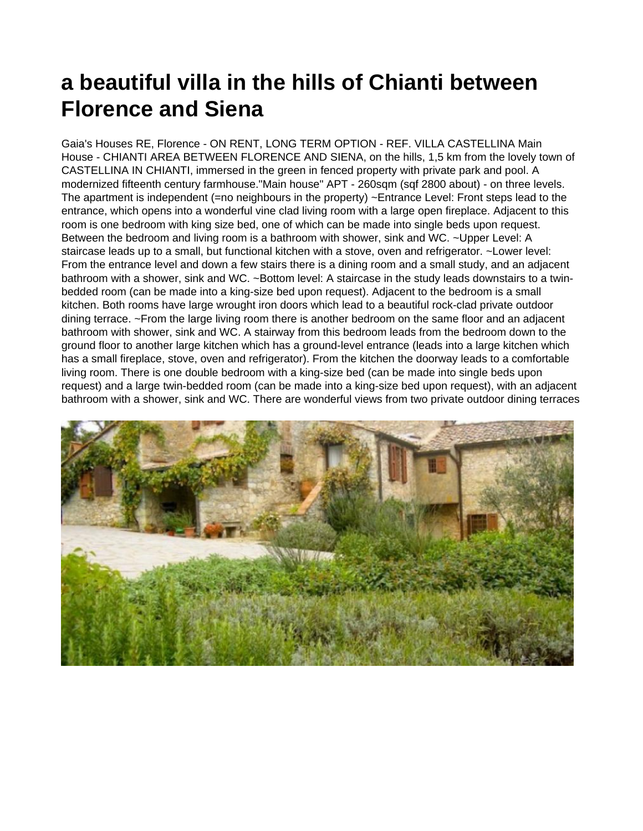## **a beautiful villa in the hills of Chianti between Florence and Siena**

Gaia's Houses RE, Florence - ON RENT, LONG TERM OPTION - REF. VILLA CASTELLINA Main House - CHIANTI AREA BETWEEN FLORENCE AND SIENA, on the hills, 1,5 km from the lovely town of CASTELLINA IN CHIANTI, immersed in the green in fenced property with private park and pool. A modernized fifteenth century farmhouse."Main house" APT - 260sqm (sqf 2800 about) - on three levels. The apartment is independent (=no neighbours in the property) ~Entrance Level: Front steps lead to the entrance, which opens into a wonderful vine clad living room with a large open fireplace. Adjacent to this room is one bedroom with king size bed, one of which can be made into single beds upon request. Between the bedroom and living room is a bathroom with shower, sink and WC. ~Upper Level: A staircase leads up to a small, but functional kitchen with a stove, oven and refrigerator. ~Lower level: From the entrance level and down a few stairs there is a dining room and a small study, and an adjacent bathroom with a shower, sink and WC. ~Bottom level: A staircase in the study leads downstairs to a twinbedded room (can be made into a king-size bed upon request). Adjacent to the bedroom is a small kitchen. Both rooms have large wrought iron doors which lead to a beautiful rock-clad private outdoor dining terrace. ~From the large living room there is another bedroom on the same floor and an adjacent bathroom with shower, sink and WC. A stairway from this bedroom leads from the bedroom down to the ground floor to another large kitchen which has a ground-level entrance (leads into a large kitchen which has a small fireplace, stove, oven and refrigerator). From the kitchen the doorway leads to a comfortable living room. There is one double bedroom with a king-size bed (can be made into single beds upon request) and a large twin-bedded room (can be made into a king-size bed upon request), with an adjacent bathroom with a shower, sink and WC. There are wonderful views from two private outdoor dining terraces